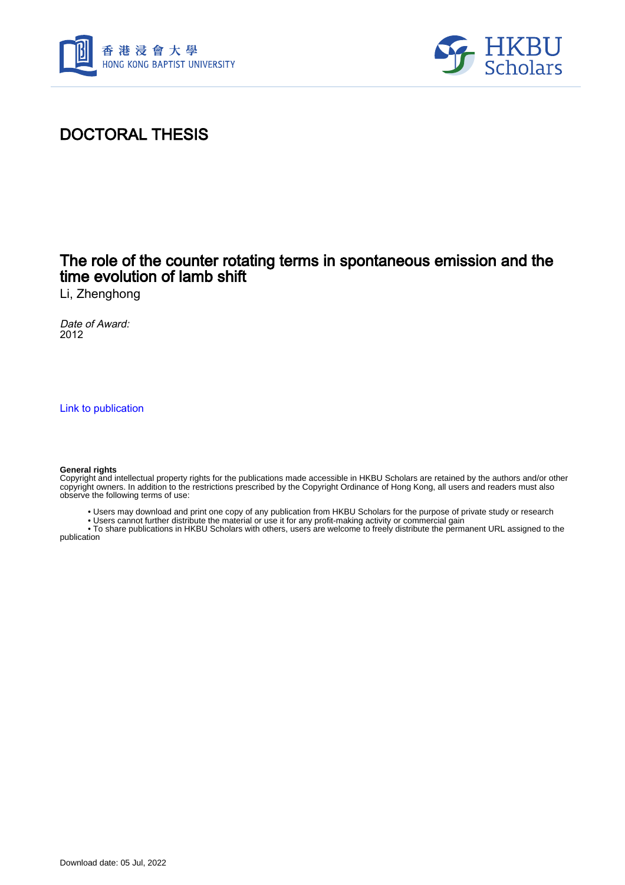



## DOCTORAL THESIS

### The role of the counter rotating terms in spontaneous emission and the time evolution of lamb shift

Li, Zhenghong

Date of Award: 2012

[Link to publication](https://scholars.hkbu.edu.hk/en/studentTheses/e7664cf9-cfc1-4a0f-82a6-9251ea2fa989)

#### **General rights**

Copyright and intellectual property rights for the publications made accessible in HKBU Scholars are retained by the authors and/or other copyright owners. In addition to the restrictions prescribed by the Copyright Ordinance of Hong Kong, all users and readers must also observe the following terms of use:

- Users may download and print one copy of any publication from HKBU Scholars for the purpose of private study or research
- Users cannot further distribute the material or use it for any profit-making activity or commercial gain

 • To share publications in HKBU Scholars with others, users are welcome to freely distribute the permanent URL assigned to the publication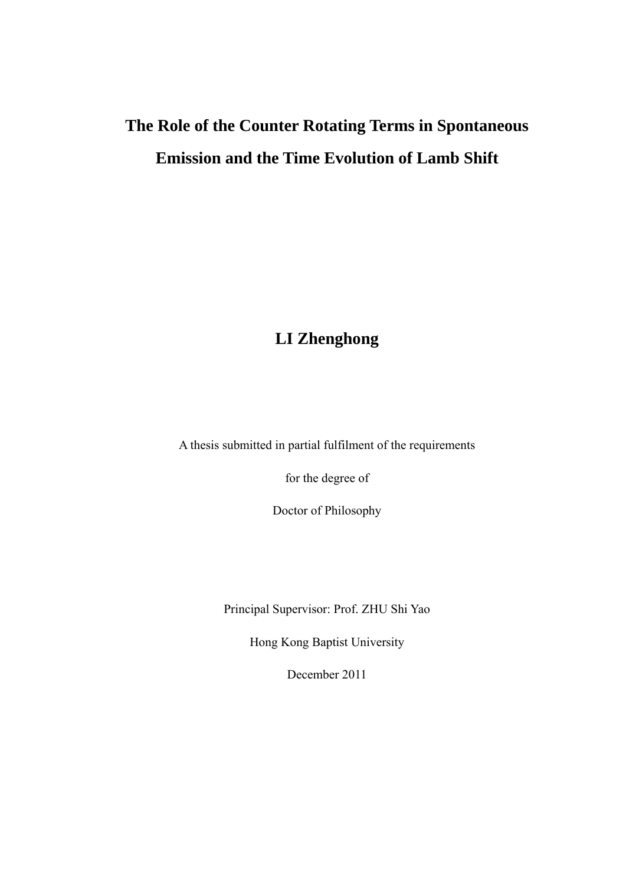## **The Role of the Counter Rotating Terms in Spontaneous Emission and the Time Evolution of Lamb Shift**

## **LI Zhenghong**

A thesis submitted in partial fulfilment of the requirements

for the degree of

Doctor of Philosophy

Principal Supervisor: Prof. ZHU Shi Yao

Hong Kong Baptist University

December 2011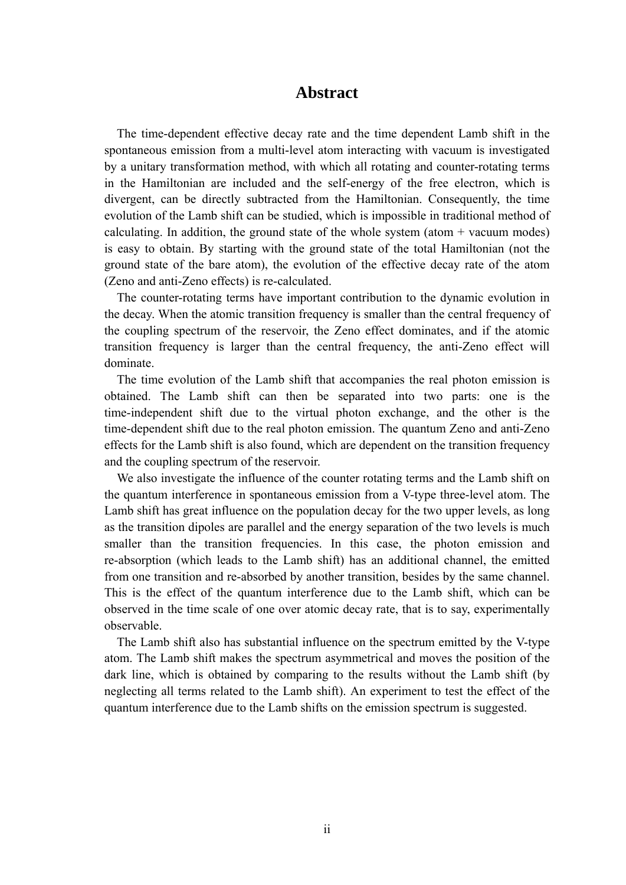#### **Abstract**

<span id="page-2-0"></span>The time-dependent effective decay rate and the time dependent Lamb shift in the spontaneous emission from a multi-level atom interacting with vacuum is investigated by a unitary transformation method, with which all rotating and counter-rotating terms in the Hamiltonian are included and the self-energy of the free electron, which is divergent, can be directly subtracted from the Hamiltonian. Consequently, the time evolution of the Lamb shift can be studied, which is impossible in traditional method of calculating. In addition, the ground state of the whole system (atom  $+$  vacuum modes) is easy to obtain. By starting with the ground state of the total Hamiltonian (not the ground state of the bare atom), the evolution of the effective decay rate of the atom (Zeno and anti-Zeno effects) is re-calculated.

The counter-rotating terms have important contribution to the dynamic evolution in the decay. When the atomic transition frequency is smaller than the central frequency of the coupling spectrum of the reservoir, the Zeno effect dominates, and if the atomic transition frequency is larger than the central frequency, the anti-Zeno effect will dominate.

The time evolution of the Lamb shift that accompanies the real photon emission is obtained. The Lamb shift can then be separated into two parts: one is the time-independent shift due to the virtual photon exchange, and the other is the time-dependent shift due to the real photon emission. The quantum Zeno and anti-Zeno effects for the Lamb shift is also found, which are dependent on the transition frequency and the coupling spectrum of the reservoir.

We also investigate the influence of the counter rotating terms and the Lamb shift on the quantum interference in spontaneous emission from a V-type three-level atom. The Lamb shift has great influence on the population decay for the two upper levels, as long as the transition dipoles are parallel and the energy separation of the two levels is much smaller than the transition frequencies. In this case, the photon emission and re-absorption (which leads to the Lamb shift) has an additional channel, the emitted from one transition and re-absorbed by another transition, besides by the same channel. This is the effect of the quantum interference due to the Lamb shift, which can be observed in the time scale of one over atomic decay rate, that is to say, experimentally observable.

The Lamb shift also has substantial influence on the spectrum emitted by the V-type atom. The Lamb shift makes the spectrum asymmetrical and moves the position of the dark line, which is obtained by comparing to the results without the Lamb shift (by neglecting all terms related to the Lamb shift). An experiment to test the effect of the quantum interference due to the Lamb shifts on the emission spectrum is suggested.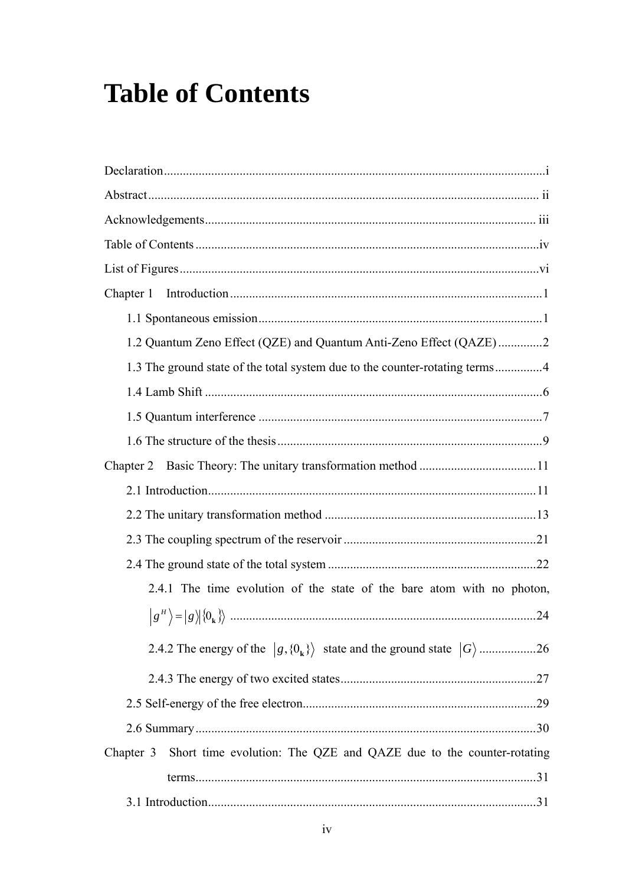# <span id="page-3-0"></span>**Table of Contents**

| Chapter 1                                                                       |
|---------------------------------------------------------------------------------|
|                                                                                 |
| 1.2 Quantum Zeno Effect (QZE) and Quantum Anti-Zeno Effect (QAZE)2              |
| 1.3 The ground state of the total system due to the counter-rotating terms4     |
|                                                                                 |
|                                                                                 |
|                                                                                 |
|                                                                                 |
|                                                                                 |
|                                                                                 |
|                                                                                 |
|                                                                                 |
| 2.4.1 The time evolution of the state of the bare atom with no photon,          |
|                                                                                 |
|                                                                                 |
|                                                                                 |
|                                                                                 |
|                                                                                 |
| Short time evolution: The QZE and QAZE due to the counter-rotating<br>Chapter 3 |
|                                                                                 |
|                                                                                 |